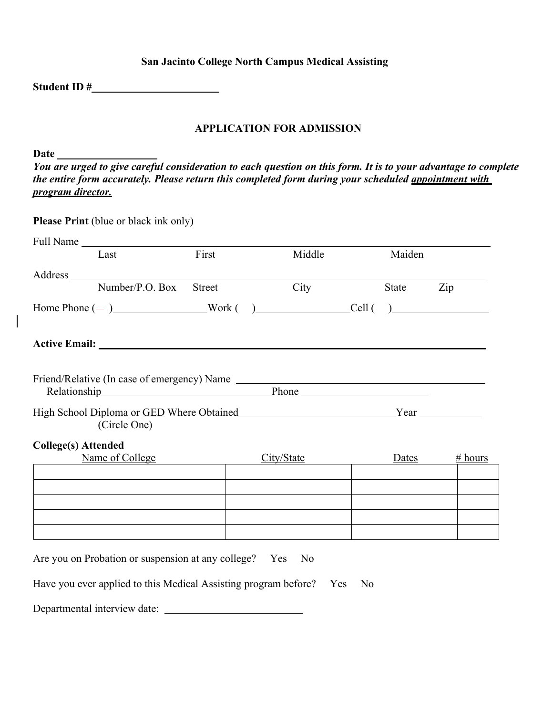## **San Jacinto College North Campus Medical Assisting**

**Student ID #**

## **APPLICATION FOR ADMISSION**

**Date**

*You are urged to give careful consideration to each question on this form. It is to your advantage to complete the entire form accurately. Please return this completed form during your scheduled appointment with program director.*

| Last                                                                                    | First  | Middle     | Maiden    |         |
|-----------------------------------------------------------------------------------------|--------|------------|-----------|---------|
|                                                                                         |        |            |           |         |
| Number/P.O. Box                                                                         | Street | City       | State Zip |         |
| $Home  Phone (-)$ Work $( )$ Cell $( )$                                                 |        |            |           |         |
| Active Email: New York Changes and Security Active Email:                               |        |            |           |         |
|                                                                                         |        |            |           |         |
|                                                                                         |        |            |           |         |
|                                                                                         |        |            |           |         |
| High School Diploma or GED Where Obtained Version Number 2014 Near Vear<br>(Circle One) |        |            |           |         |
| <b>College(s)</b> Attended                                                              |        |            |           |         |
| Name of College                                                                         |        | City/State | Dates     | # hours |
|                                                                                         |        |            |           |         |
|                                                                                         |        |            |           |         |
|                                                                                         |        |            |           |         |
|                                                                                         |        |            |           |         |
|                                                                                         |        |            |           |         |

Departmental interview date: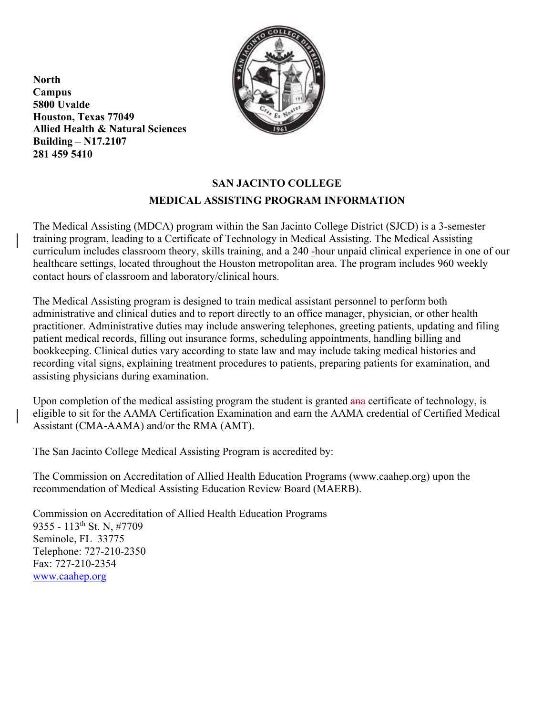

**North Campus 5800 Uvalde Houston, Texas 77049 Allied Health & Natural Sciences Building – N17.2107 281 459 5410**

# **SAN JACINTO COLLEGE MEDICAL ASSISTING PROGRAM INFORMATION**

The Medical Assisting (MDCA) program within the San Jacinto College District (SJCD) is a 3-semester training program, leading to a Certificate of Technology in Medical Assisting. The Medical Assisting curriculum includes classroom theory, skills training, and a 240 -hour unpaid clinical experience in one of our healthcare settings, located throughout the Houston metropolitan area. The program includes 960 weekly contact hours of classroom and laboratory/clinical hours.

The Medical Assisting program is designed to train medical assistant personnel to perform both administrative and clinical duties and to report directly to an office manager, physician, or other health practitioner. Administrative duties may include answering telephones, greeting patients, updating and filing patient medical records, filling out insurance forms, scheduling appointments, handling billing and bookkeeping. Clinical duties vary according to state law and may include taking medical histories and recording vital signs, explaining treatment procedures to patients, preparing patients for examination, and assisting physicians during examination.

Upon completion of the medical assisting program the student is granted and certificate of technology, is eligible to sit for the AAMA Certification Examination and earn the AAMA credential of Certified Medical Assistant (CMA-AAMA) and/or the RMA (AMT).

The San Jacinto College Medical Assisting Program is accredited by:

The Commission on Accreditation of Allied Health Education Programs (www.caahep.org) upon the recommendation of Medical Assisting Education Review Board (MAERB).

Commission on Accreditation of Allied Health Education Programs 9355 - 113<sup>th</sup> St. N, #7709 Seminole, FL 33775 Telephone: 727-210-2350 Fax: 727-210-2354 www.caahep.org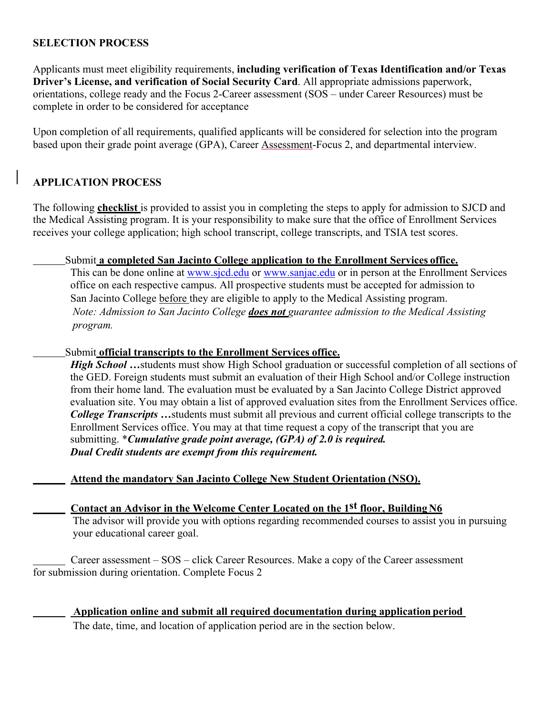## **SELECTION PROCESS**

Applicants must meet eligibility requirements, **including verification of Texas Identification and/or Texas Driver's License, and verification of Social Security Card**. All appropriate admissions paperwork, orientations, college ready and the Focus 2-Career assessment (SOS – under Career Resources) must be complete in order to be considered for acceptance

Upon completion of all requirements, qualified applicants will be considered for selection into the program based upon their grade point average (GPA), Career Assessment-Focus 2, and departmental interview.

## **APPLICATION PROCESS**

The following **checklist** is provided to assist you in completing the steps to apply for admission to SJCD and the Medical Assisting program. It is your responsibility to make sure that the office of Enrollment Services receives your college application; high school transcript, college transcripts, and TSIA test scores.

#### Submit **a completed San Jacinto College application to the Enrollment Services office.**

This can be done online at www.sjcd.edu or www.sanjac.edu or in person at the Enrollment Services office on each respective campus. All prospective students must be accepted for admission to San Jacinto College before they are eligible to apply to the Medical Assisting program. *Note: Admission to San Jacinto College does not guarantee admission to the Medical Assisting program.*

#### Submit **official transcripts to the Enrollment Services office.**

*High School* …students must show High School graduation or successful completion of all sections of the GED. Foreign students must submit an evaluation of their High School and/or College instruction from their home land. The evaluation must be evaluated by a San Jacinto College District approved evaluation site. You may obtain a list of approved evaluation sites from the Enrollment Services office. *College Transcripts …*students must submit all previous and current official college transcripts to the Enrollment Services office. You may at that time request a copy of the transcript that you are submitting. \**Cumulative grade point average, (GPA) of 2.0 is required. Dual Credit students are exempt from this requirement.*

#### **Attend the mandatory San Jacinto College New Student Orientation (NSO).**

#### **Contact an Advisor in the Welcome Center Located on the 1st floor, Building N6** The advisor will provide you with options regarding recommended courses to assist you in pursuing your educational career goal.

Career assessment – SOS – click Career Resources. Make a copy of the Career assessment for submission during orientation. Complete Focus 2

#### **Application online and submit all required documentation during application period**

The date, time, and location of application period are in the section below.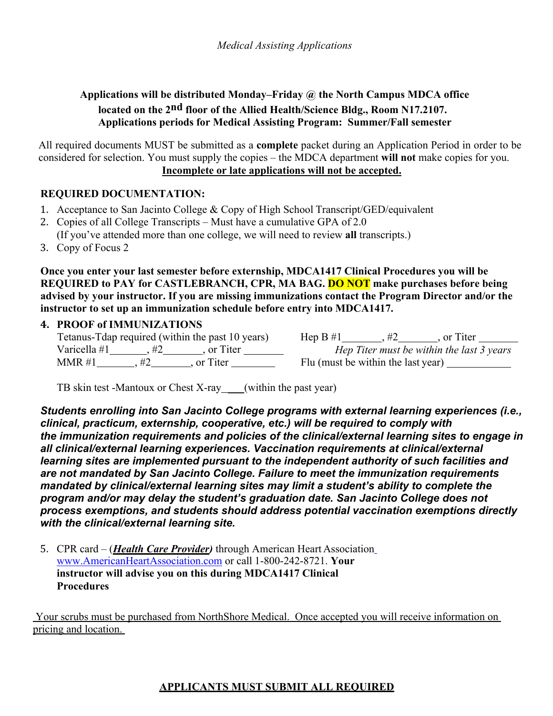## **Applications will be distributed Monday–Friday @ the North Campus MDCA office located on the 2nd floor of the Allied Health/Science Bldg., Room N17.2107. Applications periods for Medical Assisting Program: Summer/Fall semester**

All required documents MUST be submitted as a **complete** packet during an Application Period in order to be considered for selection. You must supply the copies – the MDCA department **will not** make copies for you. **Incomplete or late applications will not be accepted.**

## **REQUIRED DOCUMENTATION:**

- 1. Acceptance to San Jacinto College & Copy of High School Transcript/GED/equivalent
- 2. Copies of all College Transcripts Must have a cumulative GPA of 2.0 (If you've attended more than one college, we will need to review **all** transcripts.)
- 3. Copy of Focus 2

**Once you enter your last semester before externship, MDCA1417 Clinical Procedures you will be REQUIRED to PAY for CASTLEBRANCH, CPR, MA BAG. DO NOT make purchases before being advised by your instructor. If you are missing immunizations contact the Program Director and/or the instructor to set up an immunization schedule before entry into MDCA1417.** 

#### **4. PROOF of IMMUNIZATIONS**

|              | Tetanus-Tdap required (within the past 10 years) | Hep $B \#1$                        | . or Titer                                |
|--------------|--------------------------------------------------|------------------------------------|-------------------------------------------|
| Varicella #1 | or Titer                                         |                                    | Hep Titer must be within the last 3 years |
| MMR #1       | or Titer                                         | Flu (must be within the last year) |                                           |

TB skin test -Mantoux or Chest X-ray \_\_\_(within the past year)

*Students enrolling into San Jacinto College programs with external learning experiences (i.e., clinical, practicum, externship, cooperative, etc.) will be required to comply with the immunization requirements and policies of the clinical/external learning sites to engage in all clinical/external learning experiences. Vaccination requirements at clinical/external learning sites are implemented pursuant to the independent authority of such facilities and are not mandated by San Jacinto College. Failure to meet the immunization requirements mandated by clinical/external learning sites may limit a student's ability to complete the program and/or may delay the student's graduation date. San Jacinto College does not process exemptions, and students should address potential vaccination exemptions directly with the clinical/external learning site.*

5. CPR card – (*Health Care Provider)* through American Heart Association www.AmericanHeartAssociation.com or call 1-800-242-8721. **Your instructor will advise you on this during MDCA1417 Clinical Procedures**

Your scrubs must be purchased from NorthShore Medical. Once accepted you will receive information on pricing and location.

## **APPLICANTS MUST SUBMIT ALL REQUIRED**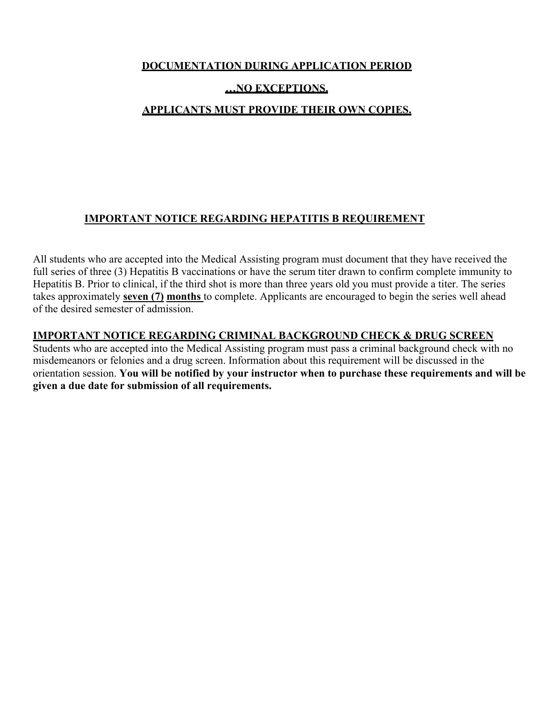## **DOCUMENTATION DURING APPLICATION PERIOD**

## **…NO EXCEPTIONS.**

## **APPLICANTS MUST PROVIDE THEIR OWN COPIES.**

## **IMPORTANT NOTICE REGARDING HEPATITIS B REQUIREMENT**

All students who are accepted into the Medical Assisting program must document that they have received the full series of three (3) Hepatitis B vaccinations or have the serum titer drawn to confirm complete immunity to Hepatitis B. Prior to clinical, if the third shot is more than three years old you must provide a titer. The series takes approximately **seven (7) months** to complete. Applicants are encouraged to begin the series well ahead of the desired semester of admission.

## **IMPORTANT NOTICE REGARDING CRIMINAL BACKGROUND CHECK & DRUG SCREEN**

Students who are accepted into the Medical Assisting program must pass a criminal background check with no misdemeanors or felonies and a drug screen. Information about this requirement will be discussed in the orientation session. **You will be notified by your instructor when to purchase these requirements and will be given a due date for submission of all requirements.**